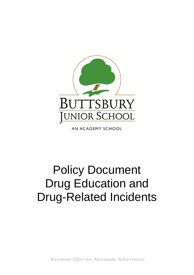

AN ACADEMY SCHOOL

# Policy Document Drug Education and Drug-Related Incidents

*Maximum Effort for Maximum Achievement*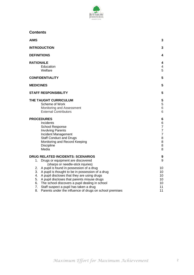

**Contents**

| <b>AIMS</b>                                                                                                                                                                                                                                                                                                             | 3                                                                                |
|-------------------------------------------------------------------------------------------------------------------------------------------------------------------------------------------------------------------------------------------------------------------------------------------------------------------------|----------------------------------------------------------------------------------|
| <b>INTRODUCTION</b>                                                                                                                                                                                                                                                                                                     | 3                                                                                |
| <b>DEFINITIONS</b>                                                                                                                                                                                                                                                                                                      | 4                                                                                |
| <b>RATIONALE</b><br>Education<br>Welfare                                                                                                                                                                                                                                                                                | 4<br>4<br>5                                                                      |
| <b>CONFIDENTIALITY</b>                                                                                                                                                                                                                                                                                                  | 5                                                                                |
| <b>MEDICINES</b>                                                                                                                                                                                                                                                                                                        | 5                                                                                |
| <b>STAFF RESPONSIBILITY</b>                                                                                                                                                                                                                                                                                             | 5                                                                                |
| THE TAUGHT CURRICULUM<br>Scheme of Work<br>Monitoring and Assessment<br><b>External Contributors</b>                                                                                                                                                                                                                    | 5<br>5<br>6<br>6                                                                 |
| <b>PROCEDURES</b><br>Incidents<br>School Response<br><b>Involving Parents</b><br>Incident Management<br><b>Staff Conduct and Drugs</b><br>Monitoring and Record Keeping<br><b>Discipline</b><br>Media                                                                                                                   | 6<br>6<br>$\overline{7}$<br>$\overline{7}$<br>$\overline{7}$<br>8<br>8<br>8<br>8 |
| <b>DRUG RELATED INCIDENTS: SCENARIOS</b><br>Drugs or equipment are discovered<br>1.<br>(sharps or needle-stick injuries)                                                                                                                                                                                                | 9<br>9                                                                           |
| A pupil is found in possession of a drug<br>2.<br>A pupil is thought to be in possession of a drug<br>3.<br>A pupil discloses that they are using drugs<br>4.<br>A pupil discloses that parents misuse drugs<br>5.<br>The school discovers a pupil dealing in school<br>6.<br>7. Staff suspect a pupil has taken a drug | 10<br>10<br>10<br>10<br>10<br>11                                                 |
| 8.<br>Parents under the influence of drugs on school premises                                                                                                                                                                                                                                                           | 11                                                                               |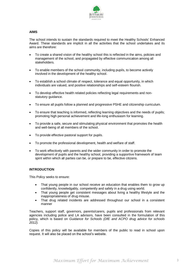

## **AIMS**

The school intends to sustain the standards required to meet the Healthy Schools' Enhanced Award. These standards are implicit in all the activities that the school undertakes and its aims are therefore:

- To create a shared vision of the healthy school this is reflected in the aims, policies and management of the school, and propagated by effective communication among all stakeholders.
- To enable members of the school community, including pupils, to become actively involved in the development of the healthy school.
- To establish a school climate of respect, tolerance and equal opportunity, in which individuals are valued, and positive relationships and self-esteem flourish.
- To develop effective health related policies reflecting legal requirements and nonstatutory guidance.
- To ensure all pupils follow a planned and progressive PSHE and citizenship curriculum.
- To ensure that teaching is informed, reflecting learning objectives and the needs of pupils; promoting high personal achievement and life-long enthusiasm for learning.
- To provide a safe, secure and stimulating physical environment that promotes the health and well-being of all members of the school.
- To provide effective pastoral support for pupils.
- To promote the professional development, health and welfare of staff.
- To work effectively with parents and the wider community in order to promote the development of pupils and the healthy school, providing a supportive framework of team spirit within which all parties can be, or prepare to be, effective citizens.

## **INTRODUCTION**

This Policy seeks to ensure:

- That young people in our school receive an education that enables them to grow up confidently, knowledgably, competently and safely in a drug using world.
- That young people get consistent messages about living a healthy lifestyle and the inappropriateness of drug misuse.
- That drug related incidents are addressed throughout our school in a consistent manner

Teachers, support staff, governors, parents/carers, pupils and professionals from relevant agencies including police and LA advisors, have been consulted in the formulation of this policy, which is based on *Guidance for Schools (DfE and ACPO drug advice for schools 2012).*

Copies of this policy will be available for members of the public to read in school upon request. It will also be placed on the school's website.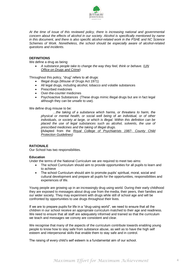

*At the time of issue of this reviewed policy, there is increasing national and governmental concern about the effects of alcohol in our society. Alcohol is specifically mentioned by name in this document, and there is also specific alcohol-related work in the PSHE and NC Science Schemes of Work. Nonetheless, the school should be especially aware of alcohol-related questions and incidents.*

## **DEFINITIONS**

We define a drug as being:

 *A substance people take to change the way they feel, think or behave.* (*UN Office on Drugs and Crime*)

Throughout this policy, "drug" refers to all drugs:

- Illegal drugs (Misuse of Drugs Act 1971)
- All legal drugs, including alcohol, tobacco and volatile substances
- Prescribed medicines
- Over-the-counter medicines
- Psychoactive Substances (These drugs mimic illegal drugs but are in fact legal although they can be unsafe to use).

We define drug misuse to be:

*…the taking of a substance which harms, or threatens to harm, the physical or mental health, or social well being of an individual, or of other individuals, or society at large, or which is illegal. Within this definition can be placed the use of legal substances such as alcohol, solvents, the use of prescribed medicines and the taking of illegal drugs.*

**(**Adapted from the *Royal College of Psychiatrists 1987- County Child Protection Guidelines)*

#### **RATIONALE**

Our School has two responsibilities.

#### **Education**

Under the terms of the National Curriculum we are required to meet two aims:

- The school Curriculum should aim to provide opportunities for all pupils to learn and to achieve
- The school Curriculum should aim to promote pupils' spiritual, moral, social and cultural development and prepare all pupils for the opportunities, responsibilities and experiences of life.

Young people are growing up in an increasingly drug using world. During their early childhood they are exposed to messages about drug use from the media, their peers, their families and our wider society. They may experiment with drugs while still of school age and will be confronted by opportunities to use drugs throughout their lives.

If we are to prepare pupils for life in a "drug-using world", we need to ensure that all the children in our school receive an appropriate curriculum matched to their age and readiness. We need to ensure that all staff are adequately informed and trained so that the curriculum we teach and messages we convey are consistent and clear.

We recognise that many of the aspects of the curriculum contribute towards enabling young people to know how to stay safe from substance abuse, as well as to have the high self esteem and interpersonal skills that enable them to stay safe and in control.

The raising of every child's self esteem is a fundamental aim of our school.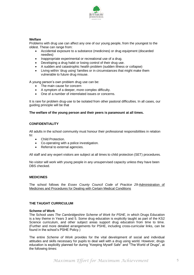

## **Welfare**

Problems with drug use can affect any one of our young people, from the youngest to the oldest. These can range from:

- Accidental exposure to a substance (medicines) or drug equipment (discarded needles)
- Inappropriate experimental or recreational use of a drug.
- Developing a drug habit or losing control of their drug use.
- A sudden and catastrophic health problem (sudden illness or collapse)
- Living within 'drug using' families or in circumstances that might make them vulnerable to future drug misuse.

A young person's own problem drug use can be:

- The main cause for concern
- A symptom of a deeper, more complex difficulty.
- One of a number of interrelated issues or concerns.

It is rare for problem drug-use to be isolated from other pastoral difficulties. In all cases, our guiding principle will be that

#### **The welfare of the young person and their peers is paramount at all times.**

## **CONFIDENTIALITY**

All adults in the school community must honour their professional responsibilities in relation to:

- Child Protection.
- Co-operating with a police investigation.
- Referral to external agencies.

All staff and any expert visitors are subject at all times to child protection (SET) procedures.

No visitor will work with young people in any unsupervised capacity unless they have been DBS checked.

#### **MEDICINES**

The school follows the *Essex County Council Code of Practice 29*-Administration of Medicines and Procedures for Dealing with Certain Medical Conditions

## **THE TAUGHT CURRICULUM**

#### **Scheme of Work**

The School uses *The Cambridgeshire Scheme of Work for PSHE*, in which Drugs Education is a key theme in Years 3 and 5. Some drug education is explicitly taught as part of the KS2 Science curriculum, and other subject areas support drug education from time to time. (Further and more detailed arrangements for PSHE, including cross-curricular links, can be found in the school's PSHE Policy.)

The entire *Scheme of Work* provides for the vital development of social and individual attitudes and skills necessary for pupils to deal well with a drug using world. However, drugs education is explicitly planned for during "Keeping Myself Safe" and "The World of Drugs", at the following times: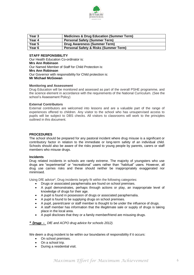

| Year 3 | <b>Medicines &amp; Drug Education (Summer Term)</b> |
|--------|-----------------------------------------------------|
| Year 4 | <b>Personal Safety (Summer Term)</b>                |
| Year 5 | Drug Awareness (Summer Term)                        |
| Year 6 | <b>Personal Safety &amp; Risks (Summer Term)</b>    |

## **STAFF RESPONSIBILITY**

Our Health Education Co-ordinator is: **Mrs Ann Robinson**  Our Named Member of Staff for Child Protection is: **Mrs Ann Robinson** Our Governor with responsibility for Child protection is: **Mr Michael McGowan**

#### **Monitoring and Assessment**

Drug Education will be monitored and assessed as part of the overall PSHE programme, and the science element in accordance with the requirements of the National Curriculum. (See the school's Assessment Policy)

#### **External Contributors**

External contributors are welcomed into lessons and are a valuable part of the range of experiences offered to children. Any visitor to the school who has unsupervised access to pupils will be subject to DBS checks. All visitors to classrooms will work to the principles outlined in this document.

#### **PROCEDURES**

The school should be prepared for any pastoral incident where drug misuse is a significant or contributory factor in relation to the immediate or long-term safety of an individual child. Schools should also be aware of the risks posed to young people by parents, carers or staff members who misuse drugs.

#### **Incidents**

Drug related incidents in schools are rarely extreme. The majority of youngsters who use drugs are "experimental" or "recreational" users rather than "habitual" users. However, all drug use carries risks and these should neither be inappropriately exaggerated nor minimised.

Using DfE advice\*, Drug incidents largely fit within the following categories:

- Drugs or associated paraphernalia are found on school premises.
- A pupil demonstrates, perhaps through actions or play, an inappropriate level of knowledge of drugs for their age.
- A pupil is found in possession of drugs or associated paraphernalia.
- A pupil is found to be supplying drugs on school premises.
- A pupil, parent/carer or staff member is thought to be under the influence of drugs.
- A staff member has information that the illegitimate sale or supply of drugs is taking place in the local area.
- A pupil discloses that they or a family member/friend are misusing drugs.

*\* Drugs - DfE and ACPO drug advice for schools 2012).*

We deem a drug incident to be within our boundaries of responsibility if it occurs:

- On school premises.
- On a school trip.
- During a residential visit.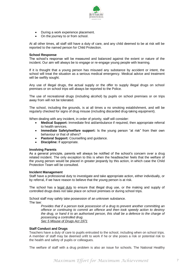

- During a work experience placement.
- On the journey to or from school.

At all other times, all staff still have a duty of care, and any child deemed to be at risk will be reported to the named person for Child Protection.

#### **School Response**

The school's response will be measured and balanced against the extent or nature of the incident. Our aim will always be to engage or re-engage young people with learning.

If it is thought that a young person has misused any substance by accident or intent, the school will treat the situation as a serious medical emergency. Medical advice and treatment will be swiftly sought.

Any use of illegal drugs, the actual supply or the offer to supply illegal drugs on school premises or on school trips will always be reported to the Police.

The use of recreational drugs (including alcohol) by pupils on school premises or on trips away from will not be tolerated.

The school, including the grounds, is at all times a no smoking establishment, and will be regularly checked for signs of drug misuse (including discarded drug-taking equipment).

When dealing with any incident, in order of priority, staff will consider:

- **Medical Support:** Immediate first aid/ambulance if required, then appropriate referral to health services.
- **Immediate Safety/welfare support:** Is the young person "at risk" from their own behaviour or that of others?
- **Pastoral Support:** Counselling and guidance.
- **Discipline:** If appropriate.

#### **Involving Parents**

As a general principle, parents will always be notified of the school's concern over a drug related incident. The only exception to this is when the headteacher feels that the welfare of the young person would be placed in greater jeopardy by this action, in which case the Child Protection Team will be consulted.

#### **Incident Management**

Staff have a professional duty to investigate and take appropriate action, either individually, or by referral, if we have reason to believe that the young person is at risk.

The school has a legal duty to ensure that illegal drug use, or the making and supply of controlled drugs does not take place on school premises or during school trips.

School staff may safely take possession of an unknown substance. The law:

*Provides that if a person took possession of a drug to prevent another committing an offence or continuing to commit an offence and then took speedy action to destroy the drug, or hand it to an authorised person, this shall be a defence to the charge of possessing a controlled drug. Sec 5 Misuse of Drugs Act 1971*

#### **Staff Conduct and Drugs**

Teachers have a duty of care to pupils entrusted to the school, including when on school trips. A member of staff may be deemed unfit to work if he or she poses a risk or potential risk to the health and safety of pupils or colleagues.

The welfare of staff with a drug problem is also an issue for schools. The National Healthy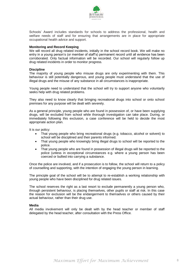

Schools' Award includes standards for schools to address the professional, health and welfare needs of staff and for ensuring that arrangements are in place for appropriate occupational health advice and support.

#### **Monitoring and Record Keeping**

We will record all drug related incidents, initially in the school record book. We will make no entry in a young person's (or member of staff's) permanent record until all evidence has been corroborated. Only factual information will be recorded. Our school will regularly follow up drug related incidents in order to monitor progress.

#### **Discipline**

The majority of young people who misuse drugs are only experimenting with them. This behaviour is still potentially dangerous, and young people must understand that the use of illegal drugs and the misuse of any substance in all circumstances is inappropriate.

Young people need to understand that the school will try to support anyone who voluntarily seeks help with drug related problems.

They also need to know clearly that bringing recreational drugs into school or onto school premises for any purpose will be dealt with severely.

As a general principle, young people who are found in possession of, or have been supplying drugs, will be excluded from school while thorough investigation can take place. During, or immediately following this exclusion, a case conference will be held to decide the most appropriate action plan.

It is our policy:

- That young people who bring recreational drugs (e.g. tobacco, alcohol or solvent) to school will be disciplined and their parents informed.
- That young people who knowingly bring illegal drugs to school will be reported to the police.
- That young people who are found in possession of illegal drugs will be reported to the police (unless in exceptional circumstances e.g. where a young person has been coerced or bullied into carrying a substance.

Once the police are involved, and if a prosecution is to follow, the school will return to a policy of counselling and supporting, with the intention of engaging the young person in learning.

The principle goal of the school will be to attempt to re-establish a working relationship with young people who have been disciplined for drug related issues.

The school reserves the right as a last resort to exclude permanently a young person who, through persistent behaviour, is placing themselves, other pupils or staff at risk. In this case the reason for exclusion will be the endangerment to themselves or others caused by their actual behaviour, rather than their drug use.

#### **Media**

All media involvement will only be dealt with by the head teacher or member of staff delegated by the head teacher, after consultation with the Press Office.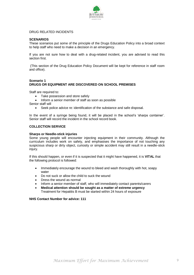

## DRUG RELATED INCIDENTS

## **SCENARIOS**

These scenarios put some of the principle of the Drugs Education Policy into a broad context to help staff who need to make a decision in an emergency.

If you are not sure how to deal with a drug-related incident, you are advised to read this section first.

(This section of the Drug Education Policy Document will be kept for reference in staff room and office).

## **Scenario 1 DRUGS OR EQUIPMENT ARE DISCOVERED ON SCHOOL PREMISES**

Staff are required to:

- Take possession and store safely
- Inform a senior member of staff as soon as possible

Senior staff will

Seek police advice re: identification of the substance and safe disposal.

In the event of a syringe being found, it will be placed in the school's 'sharps container'. Senior staff will record the incident in the school record book.

#### **COLLECTION SERVICE**

#### **Sharps or Needle-stick injuries**

Some young people will encounter injecting equipment in their community. Although the curriculum includes work on safety, and emphasises the importance of not touching any suspicious sharp or dirty object, curiosity or simple accident may still result in a needle-stick injury.

If this should happen, or even if it is suspected that it might have happened, it is **VITAL** that the following protocol is followed:

- Immediately encourage the wound to bleed and wash thoroughly with hot, soapy water
- Do not suck or allow the child to suck the wound
- Dress the wound as normal
- Inform a senior member of staff, who will immediately contact parents/carers
- **Medical attention should be sought as a matter of extreme urgency** Treatment for Hepatitis B must be started within 24 hours of exposure

#### **NHS Contact Number for advice: 111**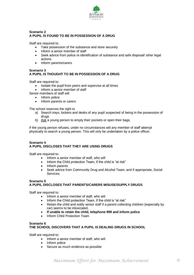

## **Scenario 2 A PUPIL IS FOUND TO BE IN POSSESSION OF A DRUG**

Staff are required to:

- Take possession of the substance and store securely
- Inform a senior member of staff
- Seek advice from police re identification of substance and safe disposal/ other legal actions
- Inform parents/carers

#### **Scenario 3 A PUPIL IS THOUGHT TO BE IN POSSESSION OF A DRUG**

Staff are required to:

- Isolate the pupil from peers and supervise at all times
- Inform a senior member of staff

Senior members of staff will

- Inform police
- Inform parents or carers

The school reserves the right to

- a) Search trays, lockers and desks of any pupil suspected of being in the possession of drugs
- b) Ask a young person to empty their pockets or open their bags.

If the young person refuses, under no circumstances will any member of staff attempt physically to search a young person. This will only be undertaken by a police officer.

## **Scenario 4 A PUPIL DISCLOSES THAT THEY ARE USING DRUGS**

Staff are required to:

- Inform a senior member of staff, who will
- Inform the Child protection Team, if the child is "at risk"
- Inform parents
- Seek advice from Community Drug and Alcohol Team, and if appropriate, Social Services.

## **Scenario 5 A PUPIL DISCLOSES THAT PARENTS/CARERS MISUSE/SUPPLY DRUGS**

Staff are required to:

- Inform a senior member of staff, who will
- Inform the Child protection Team, if the child is "at risk"
- Retain the child and notify senior staff if a parent collecting children (especially by car) seems to be intoxicated.
- **If unable to retain the child, telephone 999 and inform police**
- Inform Child Protection Team

# **Scenario 6 THE SCHOOL DISCOVERS THAT A PUPIL IS DEALING DRUGS IN SCHOOL**

Staff are required to:

- Inform a senior member of staff, who will
- Inform police
- Secure as much evidence as possible